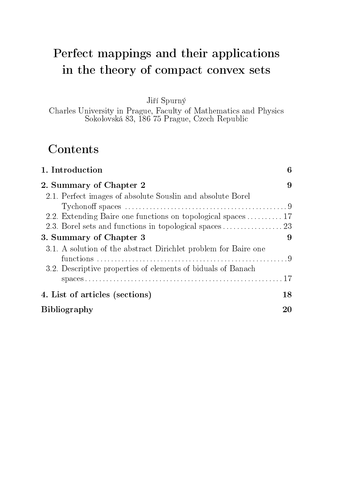# Perfect mappings and their applications in the theory of compact convex sets

Jiří Spurný

Charles University in Prague, Faculty of Mathematics and Physics Sokolovská 83, 186 75 Prague, Czech Republic

# **Contents**

| 1. Introduction                                                 | 6  |
|-----------------------------------------------------------------|----|
| 2. Summary of Chapter 2                                         | 9  |
| 2.1. Perfect images of absolute Souslin and absolute Borel      |    |
|                                                                 |    |
| 2.2. Extending Baire one functions on topological spaces  17    |    |
|                                                                 |    |
| 3. Summary of Chapter 3                                         | 9  |
| 3.1. A solution of the abstract Dirichlet problem for Baire one |    |
|                                                                 |    |
| 3.2. Descriptive properties of elements of biduals of Banach    |    |
|                                                                 |    |
| 4. List of articles (sections)                                  | 18 |
| <b>Bibliography</b>                                             |    |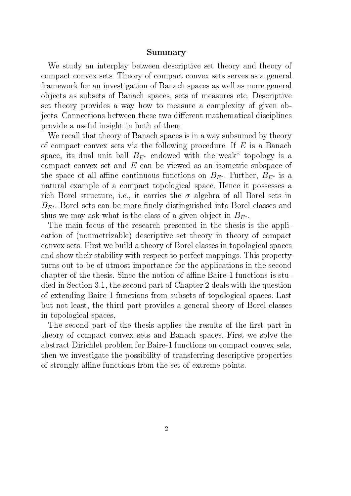#### Summary

We study an interplay between descriptive set theory and theory of compact convex sets. Theory of compact convex sets serves as a general framework for an investigation of Banach spaces as well as more general objects as subsets of Banach spaces, sets of measures etc. Descriptive set theory provides a way how to measure a complexity of given objects. Connections between these two different mathematical disciplines provide a useful insight in both of them.

We recall that theory of Banach spaces is in a way subsumed by theory of compact convex sets via the following procedure. If  $E$  is a Banach space, its dual unit ball  $B_{E^*}$  endowed with the weak\* topology is a compact convex set and E can be viewed as an isometric subspace of the space of all affine continuous functions on  $B_{E^*}$ . Further,  $B_{E^*}$  is a natural example of a compact topological space. Hence it possesses a rich Borel structure, i.e., it carries the  $\sigma$ -algebra of all Borel sets in  $B_{E^*}$ . Borel sets can be more finely distinguished into Borel classes and thus we may ask what is the class of a given object in  $B_{E^*}$ .

The main focus of the research presented in the thesis is the application of (nonmetrizable) descriptive set theory in theory of compact convex sets. First we build a theory of Borel classes in topological spaces and show their stability with respect to perfect mappings. This property turns out to be of utmost importance for the applications in the second chapter of the thesis. Since the notion of affine Baire-1 functions is studied in Section 3.1, the second part of Chapter 2 deals with the question of extending Baire-1 functions from subsets of topological spaces. Last but not least, the third part provides a general theory of Borel classes in topological spaces.

The second part of the thesis applies the results of the first part in theory of compact convex sets and Banach spaces. First we solve the abstract Dirichlet problem for Baire-1 functions on compact convex sets, then we investigate the possibility of transferring descriptive properties of strongly affine functions from the set of extreme points.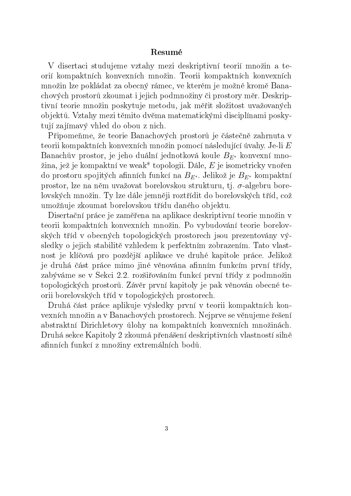#### Resumé

V disertaci studujeme vztahy mezi deskriptivní teorií množin a teorií kompaktních konvexních množin. Teorii kompaktních konvexních množin lze pokládat za obecný rámec, ve kterém je možné kromě Banachových prostorů zkoumat i jejich podmnožiny či prostory měr. Deskriptivní teorie množin poskytuje metodu, jak měřit složitost uvažovaných objektů. Vztahy mezi těmito dvěma matematickými disciplínami poskytují zajímavý vhled do obou z nich.

Připomeňme, že teorie Banachových prostorů je částečně zahrnuta v teorii kompaktních konvexních množin pomocí následující úvahy. Je-li  $E$ Banachův prostor, je jeho duální jednotková koule  $B_{E^*}$  konvexní množina, jež je kompaktní ve weak\* topologii. Dále,  $E$  je isometricky vnořen do prostoru spojitých afinních funkcí na  $B_{E^*}$ . Jelikož je  $B_{E^*}$  kompaktní prostor, lze na něm uvažovat borelovskou strukturu, tj.  $\sigma$ -algebru borelovských množin. Ty lze dále jemněji roztřídit do borelovských tříd, což umožňuje zkoumat borelovskou třídu daného objektu.

Disertační práce je zaměřena na aplikace deskriptivní teorie množin v teorii kompaktních konvexních množin. Po vybudování teorie borelovských tříd v obecných topologických prostorech jsou prezentovány výsledky o jejich stabilitě vzhledem k perfektním zobrazením. Tato vlastnost je klíčová pro pozdější aplikace ve druhé kapitole práce. Jelikož je druhá část práce mimo jiné věnována afinním funkcím první třídy, zabýváme se v Sekci 2.2. rozšiřováním funkcí první třídy z podmnožin topologických prostorů. Závěr první kapitoly je pak věnován obecné teorii borelovských tříd v topologických prostorech.

Druhá £ást práce aplikuje výsledky první v teorii kompaktních konvexních množin a v Banachových prostorech. Nejprve se věnujeme řešení abstraktní Dirichletovy úlohy na kompaktních konvexních množinách. Druhá sekce Kapitoly 2 zkoumá přenášení deskriptivních vlastností silně afinních funkcí z množiny extremálních bodů.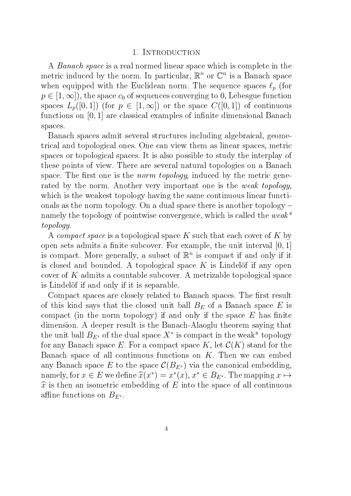#### 1. INTRODUCTION

A Banach space is a real normed linear space which is complete in the metric induced by the norm. In particular,  $\mathbb{R}^n$  or  $\mathbb{C}^n$  is a Banach space when equipped with the Euclidean norm. The sequence spaces  $\ell_p$  (for  $p \in [1,\infty]$ , the space  $c_0$  of sequences converging to 0, Lebesgue function spaces  $L_p([0,1])$  (for  $p \in [1,\infty]$ ) or the space  $C([0,1])$  of continuous functions on  $[0, 1]$  are classical examples of infinite dimensional Banach spaces.

Banach spaces admit several structures including algebraical, geometrical and topological ones. One can view them as linear spaces, metric spaces or topological spaces. It is also possible to study the interplay of these points of view. There are several natural topologies on a Banach space. The first one is the *norm topology*, induced by the metric generated by the norm. Another very important one is the *weak topology*, which is the weakest topology having the same continuous linear functionals as the norm topology. On a dual space there is another topology – namely the topology of pointwise convergence, which is called the weak\* topology.

A compact space is a topological space K such that each cover of K by open sets admits a finite subcover. For example, the unit interval  $[0, 1]$ is compact. More generally, a subset of  $\mathbb{R}^n$  is compact if and only if it is closed and bounded. A topological space  $K$  is Lindelöf if any open cover of  $K$  admits a countable subcover. A metrizable topological space is Lindelöf if and only if it is separable.

Compact spaces are closely related to Banach spaces. The first result of this kind says that the closed unit ball  $B<sub>E</sub>$  of a Banach space E is compact (in the norm topology) if and only if the space  $E$  has finite dimension. A deeper result is the Banach-Alaoglu theorem saying that the unit ball  $B_{E^*}$  of the dual space  $X^*$  is compact in the weak<sup>\*</sup> topology for any Banach space E. For a compact space K, let  $\mathcal{C}(K)$  stand for the Banach space of all continuous functions on  $K$ . Then we can embed any Banach space E to the space  $\mathcal{C}(B_{E^*})$  via the canonical embedding, namely, for  $x \in E$  we define  $\hat{x}(x^*) = x^*(x)$ ,  $x^* \in B_{E^*}$ . The mapping  $x \mapsto \hat{x}$  is then an isometric embodding of  $F$  into the space of all continuous  $\hat{x}$  is then an isometric embedding of E into the space of all continuous affine functions on  $B_{E^*}$ .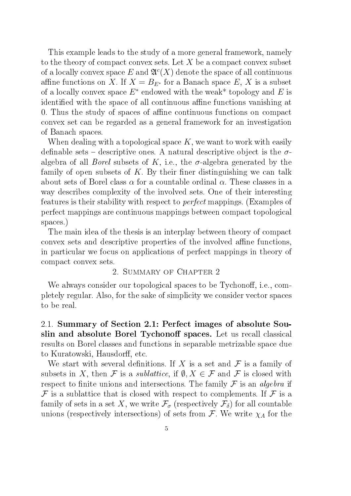This example leads to the study of a more general framework, namely to the theory of compact convex sets. Let X be a compact convex subset of a locally convex space E and  $\mathfrak{A}^c(X)$  denote the space of all continuous affine functions on X. If  $X = B_{E^*}$  for a Banach space E, X is a subset of a locally convex space  $E^*$  endowed with the weak\* topology and E is identified with the space of all continuous affine functions vanishing at 0. Thus the study of spaces of affine continuous functions on compact convex set can be regarded as a general framework for an investigation of Banach spaces.

When dealing with a topological space  $K$ , we want to work with easily definable sets – descriptive ones. A natural descriptive object is the  $\sigma$ algebra of all *Borel* subsets of K, i.e., the  $\sigma$ -algebra generated by the family of open subsets of K. By their finer distinguishing we can talk about sets of Borel class  $\alpha$  for a countable ordinal  $\alpha$ . These classes in a way describes complexity of the involved sets. One of their interesting features is their stability with respect to perfect mappings. (Examples of perfect mappings are continuous mappings between compact topological spaces.)

The main idea of the thesis is an interplay between theory of compact convex sets and descriptive properties of the involved affine functions, in particular we focus on applications of perfect mappings in theory of compact convex sets.

#### 2. Summary of Chapter 2

We always consider our topological spaces to be Tychonoff, i.e., completely regular. Also, for the sake of simplicity we consider vector spaces to be real.

2.1. Summary of Section 2.1: Perfect images of absolute Souslin and absolute Borel Tychonoff spaces. Let us recall classical results on Borel classes and functions in separable metrizable space due to Kuratowski, Hausdorff, etc.

We start with several definitions. If X is a set and  $\mathcal F$  is a family of subsets in X, then F is a *sublattice*, if  $\emptyset, X \in \mathcal{F}$  and F is closed with respect to finite unions and intersections. The family  $\mathcal F$  is an *algebra* if  $\mathcal F$  is a sublattice that is closed with respect to complements. If  $\mathcal F$  is a family of sets in a set X, we write  $\mathcal{F}_{\sigma}$  (respectively  $\mathcal{F}_{\delta}$ ) for all countable unions (respectively intersections) of sets from  $\mathcal F$ . We write  $\chi_A$  for the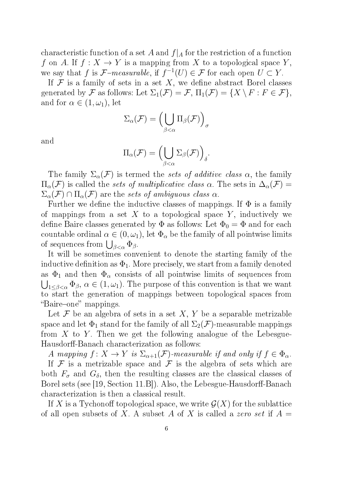characteristic function of a set A and  $f|_A$  for the restriction of a function f on A. If  $f: X \to Y$  is a mapping from X to a topological space Y, we say that f is  $\mathcal{F}\text{-}measurable$ , if  $f^{-1}(U) \in \mathcal{F}$  for each open  $U \subset Y$ .

If  $\mathcal F$  is a family of sets in a set X, we define abstract Borel classes generated by F as follows: Let  $\Sigma_1(\mathcal{F}) = \mathcal{F}$ ,  $\Pi_1(\mathcal{F}) = \{X \setminus F : F \in \mathcal{F}\},\$ and for  $\alpha \in (1, \omega_1)$ , let

$$
\Sigma_{\alpha}(\mathcal{F}) = \left(\bigcup_{\beta < \alpha} \Pi_{\beta}(\mathcal{F})\right)_{\sigma}
$$

and

$$
\Pi_{\alpha}(\mathcal{F}) = \left(\bigcup_{\beta < \alpha} \Sigma_{\beta}(\mathcal{F})\right)_{\delta}.
$$

The family  $\Sigma_{\alpha}(\mathcal{F})$  is termed the sets of additive class  $\alpha$ , the family  $\Pi_{\alpha}(\mathcal{F})$  is called the sets of multiplicative class  $\alpha$ . The sets in  $\Delta_{\alpha}(\mathcal{F})=$  $\Sigma_{\alpha}(\mathcal{F}) \cap \Pi_{\alpha}(\mathcal{F})$  are the sets of ambiguous class  $\alpha$ .

Further we define the inductive classes of mappings. If  $\Phi$  is a family of mappings from a set X to a topological space Y, inductively we define Baire classes generated by  $\Phi$  as follows: Let  $\Phi_0 = \Phi$  and for each countable ordinal  $\alpha \in (0, \omega_1)$ , let  $\Phi_{\alpha}$  be the family of all pointwise limits of sequences from  $\bigcup_{\beta<\alpha}\Phi_{\beta}$ .

It will be sometimes convenient to denote the starting family of the inductive definition as  $\Phi_1$ . More precisely, we start from a family denoted as  $\Phi_1$  and then  $\Phi_\alpha$  consists of all pointwise limits of sequences from  $\bigcup_{1 \leq \beta < \alpha} \Phi_{\beta}, \ \alpha \in (1, \omega_1).$  The purpose of this convention is that we want to start the generation of mappings between topological spaces from "Baire-one" mappings.

Let  $\mathcal F$  be an algebra of sets in a set  $X, Y$  be a separable metrizable space and let  $\Phi_1$  stand for the family of all  $\Sigma_2(\mathcal{F})$ -measurable mappings from  $X$  to  $Y$ . Then we get the following analogue of the Lebesgue-Hausdorff-Banach characterization as follows:

A mapping  $f: X \to Y$  is  $\Sigma_{\alpha+1}(\mathcal{F})$ -measurable if and only if  $f \in \Phi_{\alpha}$ .

If  $\mathcal F$  is a metrizable space and  $\mathcal F$  is the algebra of sets which are both  $F_{\sigma}$  and  $G_{\delta}$ , then the resulting classes are the classical classes of Borel sets (see [19, Section 11.B]). Also, the Lebesgue-Hausdorff-Banach characterization is then a classical result.

If X is a Tychonoff topological space, we write  $\mathcal{G}(X)$  for the sublattice of all open subsets of X. A subset A of X is called a zero set if  $A =$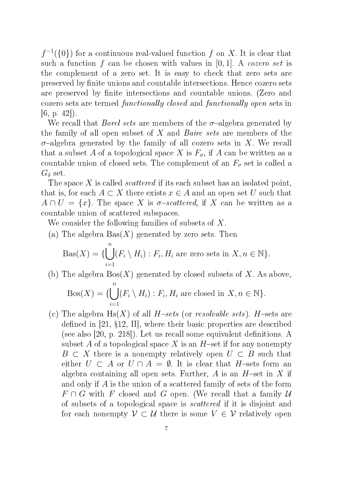$f^{-1}(\{0\})$  for a continuous real-valued function f on X. It is clear that such a function f can be chosen with values in  $[0, 1]$ . A cozero set is the complement of a zero set. It is easy to check that zero sets are preserved by finite unions and countable intersections. Hence cozero sets are preserved by finite intersections and countable unions. (Zero and cozero sets are termed functionally closed and functionally open sets in  $[6, p. 42]$ .

We recall that *Borel sets* are members of the  $\sigma$ -algebra generated by the family of all open subset of  $X$  and *Baire sets* are members of the  $\sigma$ -algebra generated by the family of all cozero sets in X. We recall that a subset A of a topological space X is  $F_{\sigma}$ , if A can be written as a countable union of closed sets. The complement of an  $F_{\sigma}$  set is called a  $G_{\delta}$  set.

The space X is called *scattered* if its each subset has an isolated point, that is, for each  $A \subset X$  there exists  $x \in A$  and an open set U such that  $A \cap U = \{x\}$ . The space X is  $\sigma$ -scattered, if X can be written as a countable union of scattered subspaces.

We consider the following families of subsets of X.

(a) The algebra  $Bas(X)$  generated by zero sets. Then

$$
Bas(X) = \{ \bigcup_{i=1}^{n} (F_i \setminus H_i) : F_i, H_i \text{ are zero sets in } X, n \in \mathbb{N} \}.
$$

(b) The algebra  $\text{Pos}(X)$  generated by closed subsets of X. As above,

$$
Bos(X) = \{ \bigcup_{i=1}^{n} (F_i \setminus H_i) : F_i, H_i \text{ are closed in } X, n \in \mathbb{N} \}.
$$

(c) The algebra  $H_s(X)$  of all  $H$ -sets (or resolvable sets). H-sets are defined in  $[21, §12, II]$ , where their basic properties are described (see also  $[20, p. 218]$ ). Let us recall some equivalent definitions. A subset A of a topological space X is an H-set if for any nonempty  $B \subset X$  there is a nonempty relatively open  $U \subset B$  such that either  $U \subset A$  or  $U \cap A = \emptyset$ . It is clear that H-sets form an algebra containing all open sets. Further, A is an  $H$ -set in X if and only if A is the union of a scattered family of sets of the form  $F \cap G$  with F closed and G open. (We recall that a family U of subsets of a topological space is scattered if it is disjoint and for each nonempty  $V \subset U$  there is some  $V \in V$  relatively open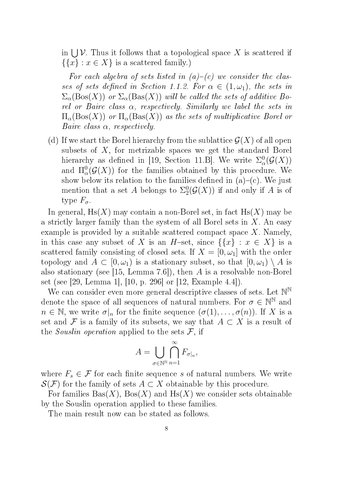in  $\bigcup \mathcal{V}$ . Thus it follows that a topological space X is scattered if  $\{\{x\} : x \in X\}$  is a scattered family.)

For each algebra of sets listed in  $(a)-(c)$  we consider the classes of sets defined in Section 1.1.2. For  $\alpha \in (1, \omega_1)$ , the sets in  $\Sigma_{\alpha}(\text{Bos}(X))$  or  $\Sigma_{\alpha}(\text{Bas}(X))$  will be called the sets of additive Borel or Baire class  $\alpha$ , respectively. Similarly we label the sets in  $\Pi_{\alpha}(\text{Bos}(X))$  or  $\Pi_{\alpha}(\text{Bas}(X))$  as the sets of multiplicative Borel or Baire class  $\alpha$ , respectively.

(d) If we start the Borel hierarchy from the sublattice  $\mathcal{G}(X)$  of all open subsets of  $X$ , for metrizable spaces we get the standard Borel hierarchy as defined in [19, Section 11.B]. We write  $\Sigma_a^0$  $^0_\alpha(\mathcal G(X))$ and  $\Pi_{\alpha}^{0}(\mathcal{G}(X))$  for the families obtained by this procedure. We show below its relation to the families defined in  $(a)-(c)$ . We just mention that a set A belongs to  $\Sigma^0_2$  $^{0}_{2}(\mathcal{G}(X))$  if and only if  $A$  is of type  $F_{\sigma}$ .

In general,  $H_s(X)$  may contain a non-Borel set, in fact  $H_s(X)$  may be a strictly larger family than the system of all Borel sets in  $X$ . An easy example is provided by a suitable scattered compact space  $X$ . Namely, in this case any subset of X is an H-set, since  $\{\{x\} : x \in X\}$  is a scattered family consisting of closed sets. If  $X = [0, \omega_1]$  with the order topology and  $A \subset [0, \omega_1)$  is a stationary subset, so that  $[0, \omega_1) \setminus A$  is also stationary (see [15, Lemma 7.6]), then A is a resolvable non-Borel set (see [29, Lemma 1], [10, p. 296] or [12, Example 4.4]).

We can consider even more general descriptive classes of sets. Let  $\mathbb{N}^{\mathbb{N}}$ denote the space of all sequences of natural numbers. For  $\sigma \in \mathbb{N}^{\mathbb{N}}$  and  $n \in \mathbb{N}$ , we write  $\sigma|_n$  for the finite sequence  $(\sigma(1), \ldots, \sigma(n))$ . If X is a set and F is a family of its subsets, we say that  $A \subset X$  is a result of the *Souslin operation* applied to the sets  $\mathcal{F}$ , if

$$
A = \bigcup_{\sigma \in \mathbb{N}^\mathbb{N}} \bigcap_{n=1}^\infty F_{\sigma|_n},
$$

where  $F_s \in \mathcal{F}$  for each finite sequence s of natural numbers. We write  $\mathcal{S}(\mathcal{F})$  for the family of sets  $A \subset X$  obtainable by this procedure.

For families  $Bas(X)$ ,  $Bos(X)$  and  $Hs(X)$  we consider sets obtainable by the Souslin operation applied to these families.

The main result now can be stated as follows.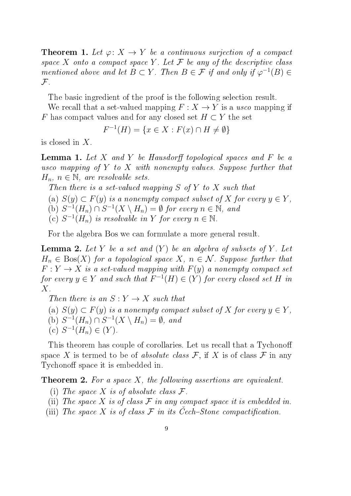**Theorem 1.** Let  $\varphi: X \to Y$  be a continuous surjection of a compact space X onto a compact space Y. Let  $\mathcal F$  be any of the descriptive class mentioned above and let  $B \subset Y$ . Then  $B \in \mathcal{F}$  if and only if  $\varphi^{-1}(B) \in$  $\mathcal{F}.$ 

The basic ingredient of the proof is the following selection result.

We recall that a set-valued mapping  $F: X \to Y$  is a usco mapping if F has compact values and for any closed set  $H \subset Y$  the set

$$
F^{-1}(H) = \{ x \in X : F(x) \cap H \neq \emptyset \}
$$

is closed in X.

**Lemma 1.** Let X and Y be Hausdorff topological spaces and F be a usco mapping of Y to X with nonempty values. Suppose further that  $H_n, n \in \mathbb{N}$ , are resolvable sets.

Then there is a set-valued mapping  $S$  of  $Y$  to  $X$  such that (a)  $S(y) \subset F(y)$  is a nonempty compact subset of X for every  $y \in Y$ , (b)  $S^{-1}(H_n) \cap S^{-1}(X \setminus H_n) = \emptyset$  for every  $n \in \mathbb{N}$ , and (c)  $S^{-1}(H_n)$  is resolvable in Y for every  $n \in \mathbb{N}$ .

For the algebra Bos we can formulate a more general result.

**Lemma 2.** Let Y be a set and  $(Y)$  be an algebra of subsets of Y. Let  $H_n \in \text{Bos}(X)$  for a topological space X,  $n \in \mathcal{N}$ . Suppose further that  $F: Y \to X$  is a set-valued mapping with  $F(y)$  a nonempty compact set for every  $y \in Y$  and such that  $F^{-1}(H) \in (Y)$  for every closed set H in X.

Then there is an  $S: Y \to X$  such that

- (a)  $S(y) \subset F(y)$  is a nonempty compact subset of X for every  $y \in Y$ ,
- (b)  $S^{-1}(H_n) \cap S^{-1}(X \setminus H_n) = \emptyset$ , and
- (c)  $S^{-1}(H_n) \in (Y)$ .

This theorem has couple of corollaries. Let us recall that a Tychonoff space X is termed to be of absolute class  $\mathcal{F}$ , if X is of class  $\mathcal{F}$  in any Tychonoff space it is embedded in.

**Theorem 2.** For a space  $X$ , the following assertions are equivalent.

- (i) The space X is of absolute class  $\mathcal{F}.$
- (ii) The space X is of class  $\mathcal F$  in any compact space it is embedded in.
- (iii) The space X is of class  $\mathcal F$  in its Cech-Stone compactification.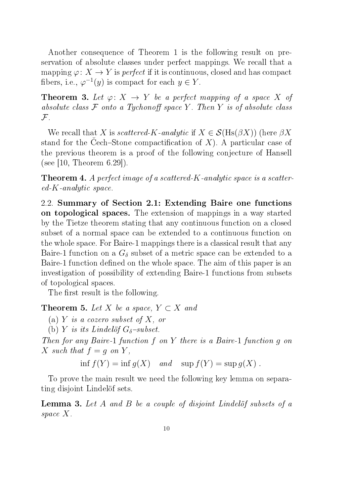Another consequence of Theorem 1 is the following result on preservation of absolute classes under perfect mappings. We recall that a mapping  $\varphi: X \to Y$  is *perfect* if it is continuous, closed and has compact fibers, i.e.,  $\varphi^{-1}(y)$  is compact for each  $y \in Y$ .

**Theorem 3.** Let  $\varphi: X \to Y$  be a perfect mapping of a space X of absolute class  $\mathcal F$  onto a Tychonoff space Y. Then Y is of absolute class  $\mathcal{F}.$ 

We recall that X is scattered-K-analytic if  $X \in \mathcal{S}(\text{Hs}(\beta X))$  (here  $\beta X$ stand for the Cech-Stone compactification of  $X$ ). A particular case of the previous theorem is a proof of the following conjecture of Hansell (see  $|10, \text{ Theorem } 6.29|$ ).

**Theorem 4.** A perfect image of a scattered-K-analytic space is a scattered-K-analytic space.

2.2. Summary of Section 2.1: Extending Baire one functions on topological spaces. The extension of mappings in a way started by the Tietze theorem stating that any continuous function on a closed subset of a normal space can be extended to a continuous function on the whole space. For Baire-1 mappings there is a classical result that any Baire-1 function on a  $G_{\delta}$  subset of a metric space can be extended to a Baire-1 function defined on the whole space. The aim of this paper is an investigation of possibility of extending Baire-1 functions from subsets of topological spaces.

The first result is the following.

**Theorem 5.** Let X be a space,  $Y \subset X$  and

(a) Y is a cozero subset of X, or

(b) Y is its Lindelöf  $G_{\delta}$ -subset.

Then for any Baire-1 function f on Y there is a Baire-1 function g on X such that  $f = q$  on Y,

inf  $f(Y) = \inf q(X)$  and  $\sup f(Y) = \sup q(X)$ .

To prove the main result we need the following key lemma on separating disjoint Lindelöf sets.

Lemma 3. Let A and B be a couple of disjoint Lindelöf subsets of a space X.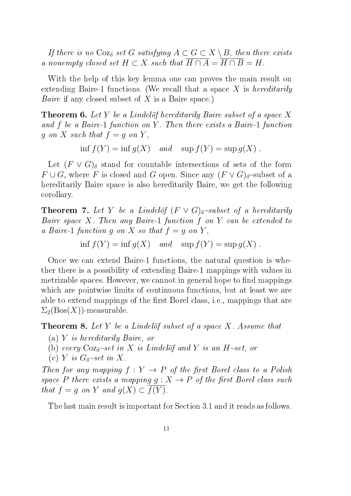If there is no  $\text{Coz}_{\delta}$  set G satisfying  $A \subset G \subset X \setminus B$ , then there exists a nonempty closed set  $H \subset X$  such that  $\overline{H \cap A} = \overline{H \cap B} = H$ .

With the help of this key lemma one can proves the main result on extending Baire-1 functions. (We recall that a space  $X$  is *hereditarily Baire* if any closed subset of  $X$  is a Baire space.)

Theorem 6. Let Y be a Lindelöf hereditarily Baire subset of a space X and f be a Baire-1 function on Y. Then there exists a Baire-1 function  $g \text{ on } X \text{ such that } f = g \text{ on } Y,$ 

inf  $f(Y) = \inf g(X)$  and  $\sup f(Y) = \sup g(X)$ .

Let  $(F \vee G)$ <sub>δ</sub> stand for countable intersections of sets of the form  $F \cup G$ , where F is closed and G open. Since any  $(F \vee G)_{\delta}$ -subset of a hereditarily Baire space is also hereditarily Baire, we get the following corollary.

**Theorem 7.** Let Y be a Lindelöf  $(F \vee G)_{\delta}$ -subset of a hereditarily Baire space  $X$ . Then any Baire-1 function  $f$  on  $Y$  can be extended to a Baire-1 function q on X so that  $f = q$  on Y,

inf  $f(Y) = \inf g(X)$  and  $\sup f(Y) = \sup g(X)$ .

Once we can extend Baire-1 functions, the natural question is whether there is a possibility of extending Baire-1 mappings with values in metrizable spaces. However, we cannot in general hope to find mappings which are pointwise limits of continuous functions, but at least we are able to extend mappings of the first Borel class, i.e., mappings that are  $\Sigma_2(Bos(X))$ -measurable.

**Theorem 8.** Let Y be a Lindelöf subset of a space X. Assume that

- (a) Y is hereditarily Baire, or
- (b) every  $\cos_{\delta}$ -set in X is Lindelöf and Y is an H-set, or
- (c) Y is  $G_{\delta}$ -set in X.

Then for any mapping  $f: Y \to P$  of the first Borel class to a Polish space P there exists a mapping  $g: X \to P$  of the first Borel class such that  $f = q$  on Y and  $q(X) \subset \overline{f(Y)}$ .

The last main result is important for Section 3.1 and it reads as follows.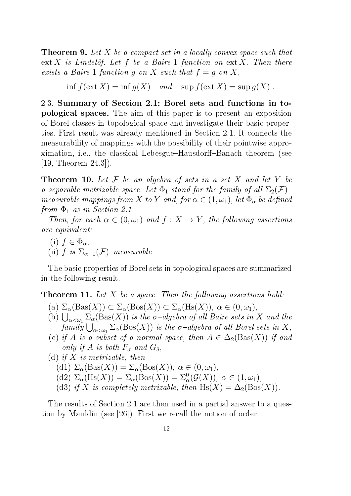**Theorem 9.** Let X be a compact set in a locally convex space such that  $ext X$  is Lindelöf. Let f be a Baire-1 function on  $ext X$ . Then there exists a Baire-1 function g on X such that  $f = g$  on X,

inf  $f(\text{ext } X) = \inf q(X)$  and  $\sup f(\text{ext } X) = \sup q(X)$ .

2.3. Summary of Section 2.1: Borel sets and functions in topological spaces. The aim of this paper is to present an exposition of Borel classes in topological space and investigate their basic properties. First result was already mentioned in Section 2.1. It connects the measurability of mappings with the possibility of their pointwise approximation, i.e., the classical Lebesgue–Hausdorff–Banach theorem (see [19, Theorem 24.3]).

**Theorem 10.** Let  $\mathcal F$  be an algebra of sets in a set  $X$  and let  $Y$  be a separable metrizable space. Let  $\Phi_1$  stand for the family of all  $\Sigma_2(\mathcal{F})$ measurable mappings from X to Y and, for  $\alpha \in (1, \omega_1)$ , let  $\Phi_{\alpha}$  be defined from  $\Phi_1$  as in Section 2.1.

Then, for each  $\alpha \in (0, \omega_1)$  and  $f: X \to Y$ , the following assertions are equivalent:

(i)  $f \in \Phi_{\alpha}$ , (ii) f is  $\Sigma_{\alpha+1}(\mathcal{F})$ -measurable.

The basic properties of Borel sets in topological spaces are summarized in the following result.

Theorem 11. Let X be a space. Then the following assertions hold:

- (a)  $\Sigma_{\alpha}(\text{Bas}(X)) \subset \Sigma_{\alpha}(\text{Bos}(X)) \subset \Sigma_{\alpha}(\text{Hs}(X)), \alpha \in (0, \omega_1),$
- (b)  $\bigcup_{\alpha<\omega_1}\Sigma_{\alpha}(\text{Bas}(X))$  is the  $\sigma$ -algebra of all Baire sets in X and the  $family \bigcup_{\alpha<\omega_1}\Sigma_\alpha({\rm Bos}(X))$  is the  $\sigma$ -algebra of all Borel sets in  $X,$
- (c) if A is a subset of a normal space, then  $A \in \Delta_2(Bas(X))$  if and only if A is both  $F_{\sigma}$  and  $G_{\delta}$ ,

\n- (d) if X is metrizable, then
\n- (d) 
$$
\Sigma_{\alpha}(\text{Bas}(X)) = \Sigma_{\alpha}(\text{Bos}(X)), \alpha \in (0, \omega_1),
$$
\n- (d)  $\Sigma_{\alpha}(\text{Hs}(X)) = \Sigma_{\alpha}(\text{Bos}(X)) = \Sigma_{\alpha}^{0}(\mathcal{G}(X)), \alpha \in (1, \omega_1),$
\n- (d) if X is completely metrizable, then  $\text{Hs}(X) = \Delta_2(\text{Bos}(X)).$
\n

The results of Section 2.1 are then used in a partial answer to a question by Mauldin (see [26]). First we recall the notion of order.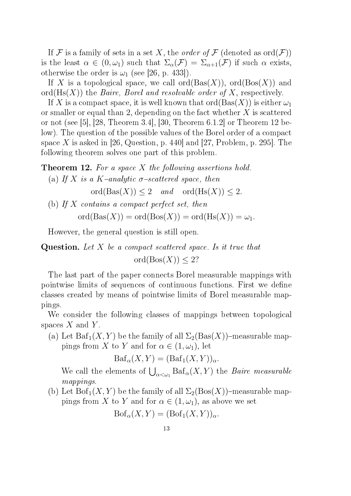If F is a family of sets in a set X, the *order of* F (denoted as  $\text{ord}(\mathcal{F})$ ) is the least  $\alpha \in (0, \omega_1)$  such that  $\Sigma_{\alpha}(F) = \Sigma_{\alpha+1}(F)$  if such  $\alpha$  exists, otherwise the order is  $\omega_1$  (see [26, p. 433]).

If X is a topological space, we call  $\text{ord}(Bas(X))$ ,  $\text{ord}(Bos(X))$  and  $\mathrm{ord}(Hs(X))$  the *Baire, Borel and resolvable order of X*, respectively.

If X is a compact space, it is well known that  $\text{ord}(Bas(X))$  is either  $\omega_1$ or smaller or equal than 2, depending on the fact whether  $X$  is scattered or not (see [5], [28, Theorem 3.4], [30, Theorem 6.1.2] or Theorem 12 below). The question of the possible values of the Borel order of a compact space X is asked in [26, Question, p. 440] and [27, Problem, p. 295]. The following theorem solves one part of this problem.

Theorem 12. For a space X the following assertions hold. (a) If X is a K-analytic  $\sigma$ -scattered space, then

 $\text{ord}(Bas(X)) \leq 2$  and  $\text{ord}(Hs(X)) \leq 2$ .

(b) If  $X$  contains a compact perfect set, then  $\text{ord}(Bas(X)) = \text{ord}(Bos(X)) = \text{ord}(Hs(X)) = \omega_1.$ 

However, the general question is still open.

**Question.** Let  $X$  be a compact scattered space. Is it true that  $\text{ord}(\text{Bos}(X)) \leq 2?$ 

The last part of the paper connects Borel measurable mappings with pointwise limits of sequences of continuous functions. First we define classes created by means of pointwise limits of Borel measurable mappings.

We consider the following classes of mappings between topological spaces  $X$  and  $Y$ .

(a) Let  $\text{Baf}_1(X, Y)$  be the family of all  $\Sigma_2(Bas(X))$ -measurable mappings from X to Y and for  $\alpha \in (1, \omega_1)$ , let

$$
\text{Baf}_{\alpha}(X, Y) = (\text{Baf}_{1}(X, Y))_{\alpha}.
$$

We call the elements of  $\bigcup_{\alpha<\omega_1} \text{Baf}_{\alpha}(X, Y)$  the *Baire measurable* mappings.

(b) Let  $Bof_1(X, Y)$  be the family of all  $\Sigma_2(Bos(X))$ -measurable mappings from X to Y and for  $\alpha \in (1, \omega_1)$ , as above we set

$$
\mathrm{Bof}_{\alpha}(X,Y)=(\mathrm{Bof}_1(X,Y))_{\alpha}.
$$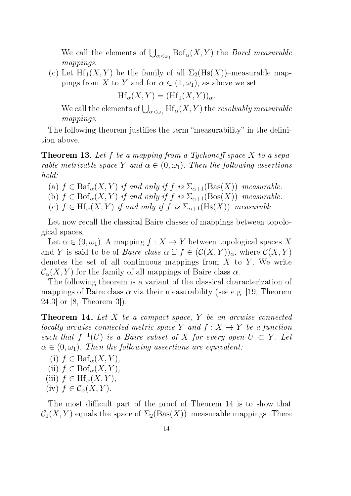We call the elements of  $\bigcup_{\alpha<\omega_1} \mathrm{Bof}_\alpha(X, Y)$  the *Borel measurable* mappings.

(c) Let  $\text{Hf}_1(X, Y)$  be the family of all  $\Sigma_2(\text{Hs}(X))$ -measurable mappings from X to Y and for  $\alpha \in (1, \omega_1)$ , as above we set

$$
\text{Hf}_{\alpha}(X,Y) = (\text{Hf}_1(X,Y))_{\alpha}.
$$

We call the elements of  $\bigcup_{\alpha<\omega_1}\mathrm{Hf}_\alpha(X,Y)$  the *resolvably measurable* mappings.

The following theorem justifies the term "measurability" in the definition above.

**Theorem 13.** Let f be a mapping from a Tychonoff space  $X$  to a separable metrizable space Y and  $\alpha \in (0, \omega_1)$ . Then the following assertions hold:

- (a)  $f \in \text{Baf}_{\alpha}(X, Y)$  if and only if f is  $\Sigma_{\alpha+1}(\text{Bas}(X))$ -measurable.
- (b)  $f \in \text{Bof}_{\alpha}(X, Y)$  if and only if f is  $\Sigma_{\alpha+1}(\text{Bos}(X))$ -measurable.
- (c)  $f \in \text{Hf}_{\alpha}(X, Y)$  if and only if f is  $\Sigma_{\alpha+1}(\text{Hs}(X))$ -measurable.

Let now recall the classical Baire classes of mappings between topological spaces.

Let  $\alpha \in (0, \omega_1)$ . A mapping  $f : X \to Y$  between topological spaces X and Y is said to be of *Baire class*  $\alpha$  if  $f \in (\mathcal{C}(X, Y))_{\alpha}$ , where  $\mathcal{C}(X, Y)$ denotes the set of all continuous mappings from  $X$  to  $Y$ . We write  $\mathcal{C}_{\alpha}(X, Y)$  for the family of all mappings of Baire class  $\alpha$ .

The following theorem is a variant of the classical characterization of mappings of Baire class  $\alpha$  via their measurability (see e.g. [19, Theorem 24.3] or [8, Theorem 3]).

**Theorem 14.** Let  $X$  be a compact space,  $Y$  be an arcwise connected locally arcwise connected metric space Y and  $f: X \to Y$  be a function such that  $f^{-1}(U)$  is a Baire subset of X for every open  $U \subset Y$ . Let  $\alpha \in (0, \omega_1)$ . Then the following assertions are equivalent:

(i)  $f \in \text{Baf}_{\alpha}(X, Y),$ (ii)  $f \in \text{Bof}_{\alpha}(X, Y)$ (iii)  $f \in \mathrm{Hf}_{\alpha}(X, Y),$ (iv)  $f \in \mathcal{C}_{\alpha}(X, Y)$ .

The most difficult part of the proof of Theorem 14 is to show that  $C_1(X, Y)$  equals the space of  $\Sigma_2(Bas(X))$ -measurable mappings. There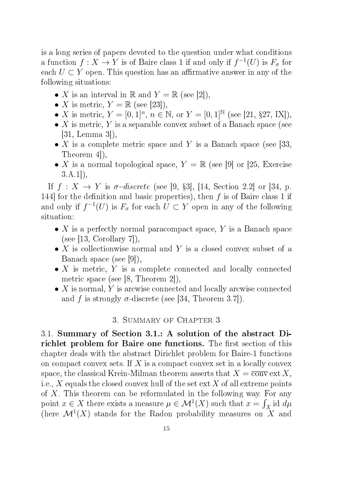is a long series of papers devoted to the question under what conditions a function  $f: X \to Y$  is of Baire class 1 if and only if  $f^{-1}(U)$  is  $F_{\sigma}$  for each  $U \subset Y$  open. This question has an affirmative answer in any of the following situations:

- X is an interval in R and  $Y = \mathbb{R}$  (see [2]),
- X is metric,  $Y = \mathbb{R}$  (see [23]),
- X is metric,  $Y = [0, 1]^n$ ,  $n \in \mathbb{N}$ , or  $Y = [0, 1]^{\mathbb{N}}$  (see [21, §27, IX]),
- X is metric, Y is a separable convex subset of a Banach space (see [31, Lemma 3]),
- X is a complete metric space and Y is a Banach space (see [33, Theorem 4]),
- X is a normal topological space,  $Y = \mathbb{R}$  (see [9] or [25, Exercise  $(3.A.1)$ ,

If  $f: X \to Y$  is  $\sigma$ -discrete (see [9, §3], [14, Section 2.2] or [34, p. 144] for the definition and basic properties), then  $f$  is of Baire class 1 if and only if  $f^{-1}(U)$  is  $F_{\sigma}$  for each  $U \subset Y$  open in any of the following situation:

- X is a perfectly normal paracompact space, Y is a Banach space  $(see [13, Corollary 7]),$
- X is collectionwise normal and Y is a closed convex subset of a Banach space (see [9]),
- $\bullet$  X is metric, Y is a complete connected and locally connected metric space (see [8, Theorem 2]),
- $\bullet$  X is normal, Y is arcwise connected and locally arcwise connected and f is strongly  $\sigma$ -discrete (see [34, Theorem 3.7]).

### 3. Summary of Chapter 3

3.1. Summary of Section 3.1.: A solution of the abstract Dirichlet problem for Baire one functions. The first section of this chapter deals with the abstract Dirichlet problem for Baire-1 functions on compact convex sets. If X is a compact convex set in a locally convex space, the classical Krein-Milman theorem asserts that  $X = \overline{conv} \text{ ext } X$ , i.e., X equals the closed convex hull of the set  $ext X$  of all extreme points of X. This theorem can be reformulated in the following way. For any point  $x \in X$  there exists a measure  $\mu \in \mathcal{M}^1(X)$  such that  $x = \int_X id \, d\mu$ (here  $\mathcal{M}^1(X)$  stands for the Radon probability measures on X and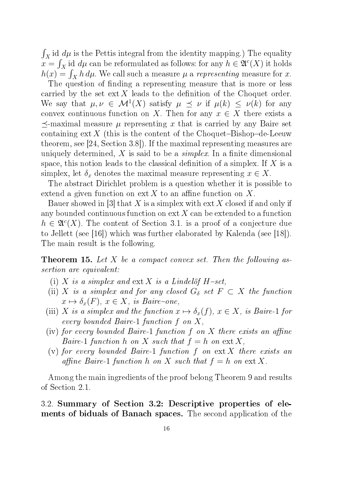$\int_X$ id  $d\mu$  is the Pettis integral from the identity mapping.) The equality  $x = \int_X$  id  $d\mu$  can be reformulated as follows: for any  $h \in \mathfrak{A}^c(X)$  it holds  $h(x) = \int_X h d\mu$ . We call such a measure  $\mu$  a *representing* measure for x.

The question of finding a representing measure that is more or less carried by the set  $ext X$  leads to the definition of the Choquet order. We say that  $\mu, \nu \in M^1(X)$  satisfy  $\mu \preceq \nu$  if  $\mu(k) \preceq \nu(k)$  for any convex continuous function on X. Then for any  $x \in X$  there exists a  $\preceq$ -maximal measure  $\mu$  representing x that is carried by any Baire set containing  $ext X$  (this is the content of the Choquet–Bishop–de-Leeuw theorem, see [24, Section 3.8]). If the maximal representing measures are uniquely determined, X is said to be a *simplex*. In a finite dimensional space, this notion leads to the classical definition of a simplex. If X is a simplex, let  $\delta_x$  denotes the maximal measure representing  $x \in X$ .

The abstract Dirichlet problem is a question whether it is possible to extend a given function on ext X to an affine function on X.

Bauer showed in [3] that X is a simplex with ext X closed if and only if any bounded continuous function on  $ext{ext X}$  can be extended to a function  $h \in \mathfrak{A}^c(X)$ . The content of Section 3.1. is a proof of a conjecture due to Jellett (see [16]) which was further elaborated by Kalenda (see [18]). The main result is the following.

**Theorem 15.** Let  $X$  be a compact convex set. Then the following assertion are equivalent:

- (i) X is a simplex and ext X is a Lindelöf  $H$ -set.
- (ii) X is a simplex and for any closed  $G_{\delta}$  set  $F \subset X$  the function  $x \mapsto \delta_x(F)$ ,  $x \in X$ , is Baire-one,
- (iii) X is a simplex and the function  $x \mapsto \delta_x(f)$ ,  $x \in X$ , is Baire-1 for every bounded Baire-1 function f on X,
- (iv) for every bounded Baire-1 function f on X there exists an affine Baire-1 function h on X such that  $f = h$  on  $ext X$ ,
- (v) for every bounded Baire-1 function  $f$  on  $ext X$  there exists an affine Baire-1 function h on X such that  $f = h$  on  $ext X$ .

Among the main ingredients of the proof belong Theorem 9 and results of Section 2.1.

## 3.2. Summary of Section 3.2: Descriptive properties of elements of biduals of Banach spaces. The second application of the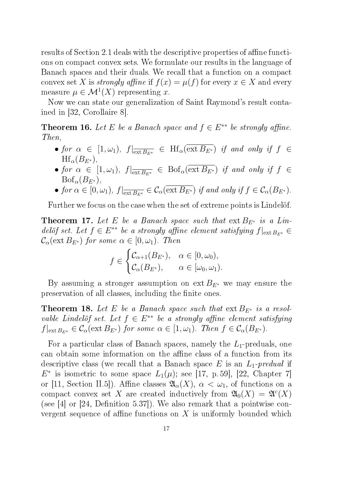results of Section 2.1 deals with the descriptive properties of affine functions on compact convex sets. We formulate our results in the language of Banach spaces and their duals. We recall that a function on a compact convex set X is *strongly affine* if  $f(x) = \mu(f)$  for every  $x \in X$  and every measure  $\mu \in \mathcal{M}^1(X)$  representing x.

Now we can state our generalization of Saint Raymond's result contained in [32, Corollaire 8].

**Theorem 16.** Let E be a Banach space and  $f \in E^{**}$  be strongly affine. Then,

- for  $\alpha \in [1, \omega_1)$ ,  $f|_{\overline{\text{ext }B_{E^*}}} \in \text{Hf}_{\alpha}(\text{ext }B_{E^*})$  if and only if  $f \in$  $\text{Hf}_{\alpha}(B_{E^*}),$
- for  $\alpha \in [1, \omega_1)$ ,  $f|_{\overline{\text{ext }B_{E^*}}} \in \text{Bof}_{\alpha}(\overline{\text{ext }B_{E^*}})$  if and only if  $f \in$  $Bof_{\alpha}(B_{E^*}),$
- for  $\alpha \in [0, \omega_1)$ ,  $f|_{\overline{\text{ext }B_{E^*}}} \in \mathcal{C}_{\alpha}(\text{ext }B_{E^*})$  if and only if  $f \in \mathcal{C}_{\alpha}(B_{E^*})$ .

Further we focus on the case when the set of extreme points is Lindelöf.

**Theorem 17.** Let E be a Banach space such that  $ext{B}_{E^*}$  is a Lindelöf set. Let  $f \in E^{**}$  be a strongly affine element satisfying  $f|_{\text{ext }B_{E^*}} \in$  $\mathcal{C}_{\alpha}(\text{ext }B_{E^*})$  for some  $\alpha \in [0,\omega_1)$ . Then

$$
f \in \begin{cases} \mathcal{C}_{\alpha+1}(B_{E^*}), & \alpha \in [0, \omega_0), \\ \mathcal{C}_{\alpha}(B_{E^*}), & \alpha \in [\omega_0, \omega_1). \end{cases}
$$

By assuming a stronger assumption on  $ext{ }B_{E^*}$  we may ensure the preservation of all classes, including the finite ones.

**Theorem 18.** Let E be a Banach space such that  $ext{B}_{E*}$  is a resolvable Lindelöf set. Let  $f \in E^{**}$  be a strongly affine element satisfying  $f|_{\text{ext }B_{E^*}} \in \mathcal{C}_{\alpha}(\text{ext }B_{E^*})$  for some  $\alpha \in [1, \omega_1)$ . Then  $f \in \mathcal{C}_{\alpha}(B_{E^*})$ .

For a particular class of Banach spaces, namely the  $L_1$ -preduals, one can obtain some information on the affine class of a function from its descriptive class (we recall that a Banach space  $E$  is an  $L_1$ -predual if  $E^*$  is isometric to some space  $L_1(\mu)$ ; see [17, p. 59], [22, Chapter 7] or [11, Section II.5]). Affine classes  $\mathfrak{A}_{\alpha}(X), \alpha < \omega_1$ , of functions on a compact convex set X are created inductively from  $\mathfrak{A}_0(X) = \mathfrak{A}^c(X)$ (see  $[4]$  or  $[24,$  Definition 5.37]). We also remark that a pointwise convergent sequence of affine functions on  $X$  is uniformly bounded which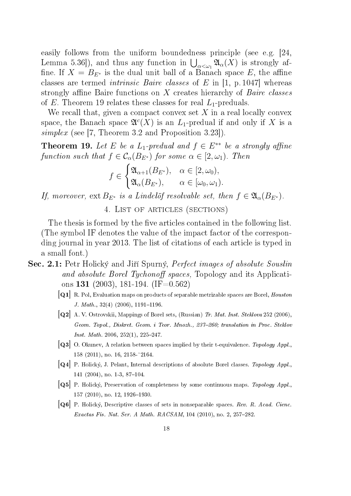easily follows from the uniform boundedness principle (see e.g. [24, Lemma 5.36]), and thus any function in  $\bigcup_{\alpha<\omega_1}\mathfrak{A}_\alpha(X)$  is strongly affine. If  $X = B_{E^*}$  is the dual unit ball of a Banach space E, the affine classes are termed intrinsic Baire classes of E in [1, p. 1047] whereas strongly affine Baire functions on  $X$  creates hierarchy of *Baire classes* of E. Theorem 19 relates these classes for real  $L_1$ -preduals.

We recall that, given a compact convex set  $X$  in a real locally convex space, the Banach space  $\mathfrak{A}^c(X)$  is an  $L_1$ -predual if and only if X is a simplex (see [7, Theorem 3.2 and Proposition 3.23]).

**Theorem 19.** Let E be a L<sub>1</sub>-predual and  $f \in E^{**}$  be a strongly affine function such that  $f \in C_{\alpha}(B_{E^*})$  for some  $\alpha \in [2, \omega_1)$ . Then

$$
f \in \begin{cases} \mathfrak{A}_{\alpha+1}(B_{E^*}), & \alpha \in [2, \omega_0), \\ \mathfrak{A}_{\alpha}(B_{E^*}), & \alpha \in [\omega_0, \omega_1). \end{cases}
$$

If, moreover, ext  $B_{E^*}$  is a Lindelöf resolvable set, then  $f \in \mathfrak{A}_{\alpha}(B_{E^*})$ .

4. List of articles (sections)

The thesis is formed by the five articles contained in the following list. (The symbol IF denotes the value of the impact factor of the corresponding journal in year 2013. The list of citations of each article is typed in a small font.)

- Sec. 2.1: Petr Holický and Jiří Spurný, *Perfect images of absolute Souslin* and absolute Borel Tychonoff spaces, Topology and its Applications 131 (2003), 181-194. (IF=0.562)
	- $|Q1|$  R. Pol, Evaluation maps on products of separable metrizable spaces are Borel, Houston J. Math.,  $32(4)$   $(2006)$ ,  $1191–1196$ .
	- $\boxed{Q2}$  A. V. Ostrovskii, Mappings of Borel sets, (Russian) Tr. Mat. Inst. Steklova 252 (2006), Geom. Topol., Diskret. Geom. i Teor. Mnozh., 237-260; translation in Proc. Steklov *Inst. Math.* 2006, 252(1), 225-247.
	- $|Q3|$  O. Okunev, A relation between spaces implied by their t-equivalence. Topology Appl., 158 (2011), no. 16, 2158-~2164.
	- $|Q4|$  P. Holický, J. Pelant, Internal descriptions of absolute Borel classes. Topology Appl., 141 (2004), no. 1-3, 87-104.
	- $|Q5|$  P. Holický, Preservation of completeness by some continuous maps. Topology Appl., 157 (2010), no. 12, 1926-1930.
	- $[Q6]$  P. Holický, Descriptive classes of sets in nonseparable spaces. Rev. R. Acad. Cienc. Exactas Fís. Nat. Ser. A Math. RACSAM,  $104$  (2010), no. 2, 257-282.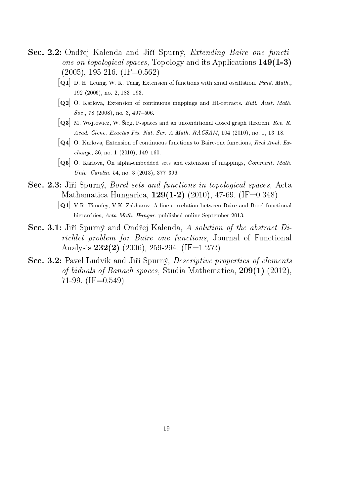- Sec. 2.2: Ondřej Kalenda and Jiří Spurný, Extending Baire one functions on topological spaces, Topology and its Applications 149(1-3)  $(2005)$ , 195-216. (IF=0.562)
	- $[Q1]$  D. H. Leung, W. K. Tang, Extension of functions with small oscillation. Fund. Math., 192 (2006), no. 2, 183-193.
	- [Q2] O. Karlova, Extension of continuous mappings and H1-retracts. Bull. Aust. Math. Soc., 78 (2008), no. 3, 497-506.
	- $[Q3]$  M. Wojtowicz, W. Sieg, P-spaces and an unconditional closed graph theorem. Rev. R. Acad. Cienc. Exactas Fís. Nat. Ser. A Math.  $RACSAM$ , 104 (2010), no. 1, 13-18.
	- $|Q4|$  O. Karlova, Extension of continuous functions to Baire-one functions, Real Anal. Ex $change, 36, no. 1 (2010), 149-160.$
	- [Q5] O. Karlova, On alpha-embedded sets and extension of mappings, Comment. Math. Univ. Carolin. 54, no. 3  $(2013)$ , 377-396.
- Sec. 2.3: Jiří Spurný, *Borel sets and functions in topological spaces*, Acta Mathematica Hungarica,  $129(1-2)$  (2010), 47-69. (IF=0.348)
	- $|Q1|$  V.R. Timofey, V.K. Zakharov, A fine correlation between Baire and Borel functional hierarchies, Acta Math. Hungar. published online September 2013.
- Sec. 3.1: Jiří Spurný and Ondřej Kalenda, A solution of the abstract Dirichlet problem for Baire one functions, Journal of Functional Analysis  $232(2)$  (2006), 259-294. (IF=1.252)
- Sec. 3.2: Pavel Ludvík and Jiří Spurný, Descriptive properties of elements of biduals of Banach spaces, Studia Mathematica, 209(1) (2012), 71-99.  $(IF=0.549)$